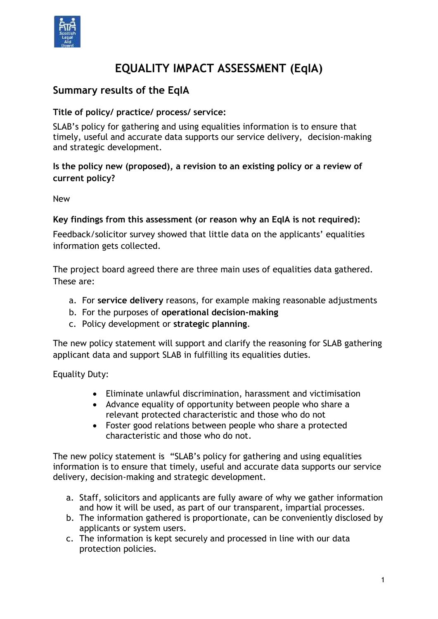

# **EQUALITY IMPACT ASSESSMENT (EqIA)**

# **Summary results of the EqIA**

#### **Title of policy/ practice/ process/ service:**

SLAB's policy for gathering and using equalities information is to ensure that timely, useful and accurate data supports our service delivery, decision-making and strategic development.

#### **Is the policy new (proposed), a revision to an existing policy or a review of current policy?**

New

#### **Key findings from this assessment (or reason why an EqIA is not required):**

Feedback/solicitor survey showed that little data on the applicants' equalities information gets collected.

The project board agreed there are three main uses of equalities data gathered. These are:

- a. For **service delivery** reasons, for example making reasonable adjustments
- b. For the purposes of **operational decision-making**
- c. Policy development or **strategic planning**.

The new policy statement will support and clarify the reasoning for SLAB gathering applicant data and support SLAB in fulfilling its equalities duties.

Equality Duty:

- Eliminate unlawful discrimination, harassment and victimisation
- Advance equality of opportunity between people who share a relevant protected characteristic and those who do not
- Foster good relations between people who share a protected characteristic and those who do not.

The new policy statement is "SLAB's policy for gathering and using equalities information is to ensure that timely, useful and accurate data supports our service delivery, decision-making and strategic development.

- a. Staff, solicitors and applicants are fully aware of why we gather information and how it will be used, as part of our transparent, impartial processes.
- b. The information gathered is proportionate, can be conveniently disclosed by applicants or system users.
- c. The information is kept securely and processed in line with our data protection policies.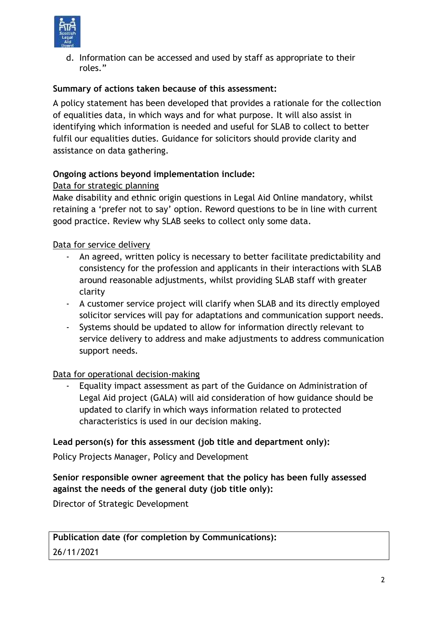

d. Information can be accessed and used by staff as appropriate to their roles."

#### **Summary of actions taken because of this assessment:**

A policy statement has been developed that provides a rationale for the collection of equalities data, in which ways and for what purpose. It will also assist in identifying which information is needed and useful for SLAB to collect to better fulfil our equalities duties. Guidance for solicitors should provide clarity and assistance on data gathering.

#### **Ongoing actions beyond implementation include:**

#### Data for strategic planning

Make disability and ethnic origin questions in Legal Aid Online mandatory, whilst retaining a 'prefer not to say' option. Reword questions to be in line with current good practice. Review why SLAB seeks to collect only some data.

#### Data for service delivery

- An agreed, written policy is necessary to better facilitate predictability and consistency for the profession and applicants in their interactions with SLAB around reasonable adjustments, whilst providing SLAB staff with greater clarity
- A customer service project will clarify when SLAB and its directly employed solicitor services will pay for adaptations and communication support needs.
- Systems should be updated to allow for information directly relevant to service delivery to address and make adjustments to address communication support needs.

#### Data for operational decision-making

Equality impact assessment as part of the Guidance on Administration of Legal Aid project (GALA) will aid consideration of how guidance should be updated to clarify in which ways information related to protected characteristics is used in our decision making.

#### **Lead person(s) for this assessment (job title and department only):**

Policy Projects Manager, Policy and Development

## **Senior responsible owner agreement that the policy has been fully assessed against the needs of the general duty (job title only):**

Director of Strategic Development

## **Publication date (for completion by Communications):**

26/11/2021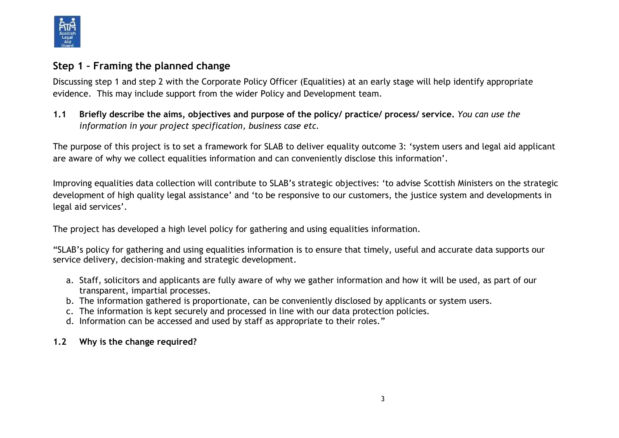

# **Step 1 – Framing the planned change**

Discussing step 1 and step 2 with the Corporate Policy Officer (Equalities) at an early stage will help identify appropriate evidence. This may include support from the wider Policy and Development team.

**1.1 Briefly describe the aims, objectives and purpose of the policy/ practice/ process/ service.** *You can use the information in your project specification, business case etc.* 

The purpose of this project is to set a framework for SLAB to deliver equality outcome 3: 'system users and legal aid applicant are aware of why we collect equalities information and can conveniently disclose this information'.

Improving equalities data collection will contribute to SLAB's strategic objectives: 'to advise Scottish Ministers on the strategic development of high quality legal assistance' and 'to be responsive to our customers, the justice system and developments in legal aid services'.

The project has developed a high level policy for gathering and using equalities information.

"SLAB's policy for gathering and using equalities information is to ensure that timely, useful and accurate data supports our service delivery, decision-making and strategic development.

- a. Staff, solicitors and applicants are fully aware of why we gather information and how it will be used, as part of our transparent, impartial processes.
- b. The information gathered is proportionate, can be conveniently disclosed by applicants or system users.
- c. The information is kept securely and processed in line with our data protection policies.
- d. Information can be accessed and used by staff as appropriate to their roles."

## **1.2 Why is the change required?**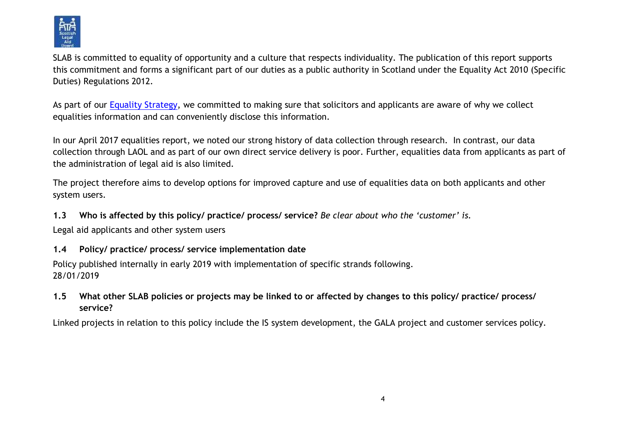

SLAB is committed to equality of opportunity and a culture that respects individuality. The publication of this report supports this commitment and forms a significant part of our duties as a public authority in Scotland under the Equality Act 2010 (Specific Duties) Regulations 2012.

As part of our Equality [Strategy,](http://intraslab.slab.org.uk/?p=8441) we committed to making sure that solicitors and applicants are aware of why we collect equalities information and can conveniently disclose this information.

In our April 2017 equalities report, we noted our strong history of data collection through research. In contrast, our data collection through LAOL and as part of our own direct service delivery is poor. Further, equalities data from applicants as part of the administration of legal aid is also limited.

The project therefore aims to develop options for improved capture and use of equalities data on both applicants and other system users.

**1.3 Who is affected by this policy/ practice/ process/ service?** *Be clear about who the 'customer' is.*

Legal aid applicants and other system users

#### **1.4 Policy/ practice/ process/ service implementation date**

Policy published internally in early 2019 with implementation of specific strands following. 28/01/2019

**1.5 What other SLAB policies or projects may be linked to or affected by changes to this policy/ practice/ process/ service?**

Linked projects in relation to this policy include the IS system development, the GALA project and customer services policy.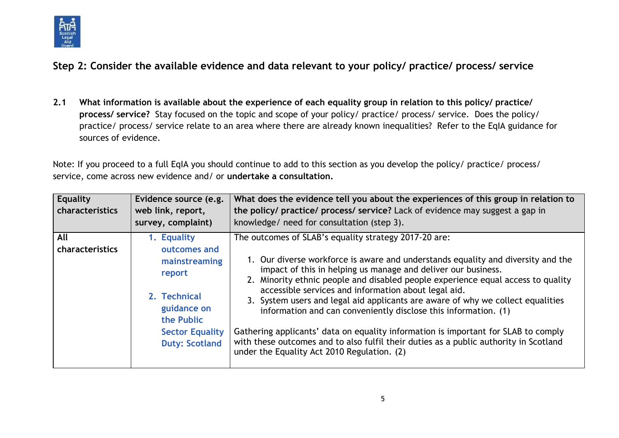

**Step 2: Consider the available evidence and data relevant to your policy/ practice/ process/ service**

**2.1 What information is available about the experience of each equality group in relation to this policy/ practice/ process/ service?** Stay focused on the topic and scope of your policy/ practice/ process/ service. Does the policy/ practice/ process/ service relate to an area where there are already known inequalities? Refer to the EqIA guidance for sources of evidence.

Note: If you proceed to a full EqIA you should continue to add to this section as you develop the policy/ practice/ process/ service, come across new evidence and/ or **undertake a consultation.**

| Equality<br><b>characteristics</b> | Evidence source (e.g.<br>web link, report,<br>survey, complaint)                                                                                       | What does the evidence tell you about the experiences of this group in relation to<br>the policy/ practice/ process/ service? Lack of evidence may suggest a gap in<br>knowledge/ need for consultation (step 3).                                                                                                                                                                                                                                                                                                                                                                                                                                                                                                                          |
|------------------------------------|--------------------------------------------------------------------------------------------------------------------------------------------------------|--------------------------------------------------------------------------------------------------------------------------------------------------------------------------------------------------------------------------------------------------------------------------------------------------------------------------------------------------------------------------------------------------------------------------------------------------------------------------------------------------------------------------------------------------------------------------------------------------------------------------------------------------------------------------------------------------------------------------------------------|
| All<br>characteristics             | 1. Equality<br>outcomes and<br>mainstreaming<br>report<br>2. Technical<br>guidance on<br>the Public<br><b>Sector Equality</b><br><b>Duty: Scotland</b> | The outcomes of SLAB's equality strategy 2017-20 are:<br>1. Our diverse workforce is aware and understands equality and diversity and the<br>impact of this in helping us manage and deliver our business.<br>2. Minority ethnic people and disabled people experience equal access to quality<br>accessible services and information about legal aid.<br>3. System users and legal aid applicants are aware of why we collect equalities<br>information and can conveniently disclose this information. (1)<br>Gathering applicants' data on equality information is important for SLAB to comply<br>with these outcomes and to also fulfil their duties as a public authority in Scotland<br>under the Equality Act 2010 Regulation. (2) |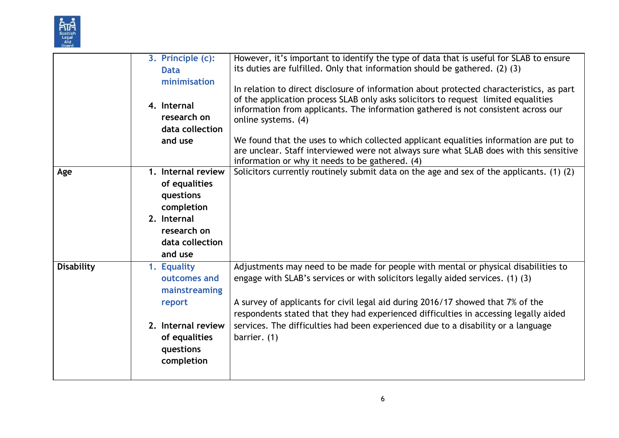

|                   | 3. Principle (c):<br><b>Data</b><br>minimisation<br>4. Internal<br>research on<br>data collection<br>and use               | However, it's important to identify the type of data that is useful for SLAB to ensure<br>its duties are fulfilled. Only that information should be gathered. (2) (3)<br>In relation to direct disclosure of information about protected characteristics, as part<br>of the application process SLAB only asks solicitors to request limited equalities<br>information from applicants. The information gathered is not consistent across our<br>online systems. (4)<br>We found that the uses to which collected applicant equalities information are put to<br>are unclear. Staff interviewed were not always sure what SLAB does with this sensitive<br>information or why it needs to be gathered. (4) |
|-------------------|----------------------------------------------------------------------------------------------------------------------------|------------------------------------------------------------------------------------------------------------------------------------------------------------------------------------------------------------------------------------------------------------------------------------------------------------------------------------------------------------------------------------------------------------------------------------------------------------------------------------------------------------------------------------------------------------------------------------------------------------------------------------------------------------------------------------------------------------|
| Age               | 1. Internal review<br>of equalities<br>questions<br>completion<br>2. Internal<br>research on<br>data collection<br>and use | Solicitors currently routinely submit data on the age and sex of the applicants. (1) (2)                                                                                                                                                                                                                                                                                                                                                                                                                                                                                                                                                                                                                   |
| <b>Disability</b> | 1. Equality<br>outcomes and<br>mainstreaming<br>report<br>2. Internal review<br>of equalities<br>questions<br>completion   | Adjustments may need to be made for people with mental or physical disabilities to<br>engage with SLAB's services or with solicitors legally aided services. (1) (3)<br>A survey of applicants for civil legal aid during 2016/17 showed that 7% of the<br>respondents stated that they had experienced difficulties in accessing legally aided<br>services. The difficulties had been experienced due to a disability or a language<br>barrier. (1)                                                                                                                                                                                                                                                       |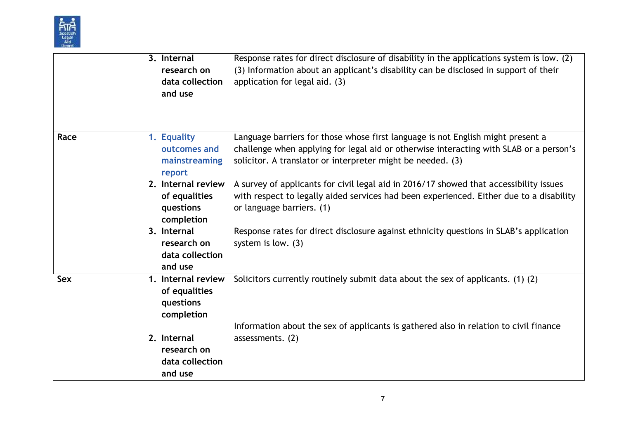

|            | 3. Internal<br>research on<br>data collection<br>and use                                                                                | Response rates for direct disclosure of disability in the applications system is low. (2)<br>(3) Information about an applicant's disability can be disclosed in support of their<br>application for legal aid. (3)                                                                                                                                                                                                                                                                                                                                  |
|------------|-----------------------------------------------------------------------------------------------------------------------------------------|------------------------------------------------------------------------------------------------------------------------------------------------------------------------------------------------------------------------------------------------------------------------------------------------------------------------------------------------------------------------------------------------------------------------------------------------------------------------------------------------------------------------------------------------------|
| Race       | 1. Equality<br>outcomes and<br>mainstreaming<br>report<br>2. Internal review<br>of equalities<br>questions<br>completion<br>3. Internal | Language barriers for those whose first language is not English might present a<br>challenge when applying for legal aid or otherwise interacting with SLAB or a person's<br>solicitor. A translator or interpreter might be needed. (3)<br>A survey of applicants for civil legal aid in 2016/17 showed that accessibility issues<br>with respect to legally aided services had been experienced. Either due to a disability<br>or language barriers. (1)<br>Response rates for direct disclosure against ethnicity questions in SLAB's application |
|            | research on<br>data collection<br>and use                                                                                               | system is low. $(3)$                                                                                                                                                                                                                                                                                                                                                                                                                                                                                                                                 |
| <b>Sex</b> | 1. Internal review<br>of equalities<br>questions<br>completion                                                                          | Solicitors currently routinely submit data about the sex of applicants. (1) (2)                                                                                                                                                                                                                                                                                                                                                                                                                                                                      |
|            | 2. Internal<br>research on<br>data collection<br>and use                                                                                | Information about the sex of applicants is gathered also in relation to civil finance<br>assessments. (2)                                                                                                                                                                                                                                                                                                                                                                                                                                            |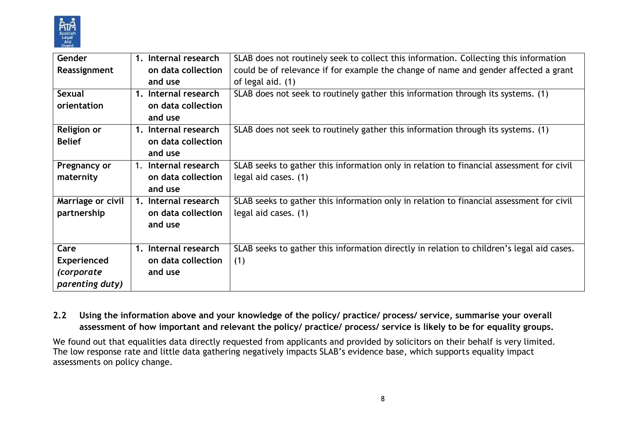

| Gender             | Internal research<br>$1_{\cdot}$ | SLAB does not routinely seek to collect this information. Collecting this information     |
|--------------------|----------------------------------|-------------------------------------------------------------------------------------------|
| Reassignment       | on data collection               | could be of relevance if for example the change of name and gender affected a grant       |
|                    | and use                          | of legal aid. (1)                                                                         |
| <b>Sexual</b>      | 1. Internal research             | SLAB does not seek to routinely gather this information through its systems. (1)          |
| orientation        | on data collection               |                                                                                           |
|                    | and use                          |                                                                                           |
| <b>Religion or</b> | 1. Internal research             | SLAB does not seek to routinely gather this information through its systems. (1)          |
| <b>Belief</b>      | on data collection               |                                                                                           |
|                    | and use                          |                                                                                           |
| Pregnancy or       | Internal research<br>1.          | SLAB seeks to gather this information only in relation to financial assessment for civil  |
| maternity          | on data collection               | legal aid cases. (1)                                                                      |
|                    | and use                          |                                                                                           |
| Marriage or civil  | 1. Internal research             | SLAB seeks to gather this information only in relation to financial assessment for civil  |
| partnership        | on data collection               | legal aid cases. (1)                                                                      |
|                    | and use                          |                                                                                           |
|                    |                                  |                                                                                           |
| Care               | 1. Internal research             | SLAB seeks to gather this information directly in relation to children's legal aid cases. |
| <b>Experienced</b> | on data collection               | (1)                                                                                       |
| (corporate         | and use                          |                                                                                           |
| parenting duty)    |                                  |                                                                                           |

#### **2.2 Using the information above and your knowledge of the policy/ practice/ process/ service, summarise your overall assessment of how important and relevant the policy/ practice/ process/ service is likely to be for equality groups.**

We found out that equalities data directly requested from applicants and provided by solicitors on their behalf is very limited. The low response rate and little data gathering negatively impacts SLAB's evidence base, which supports equality impact assessments on policy change.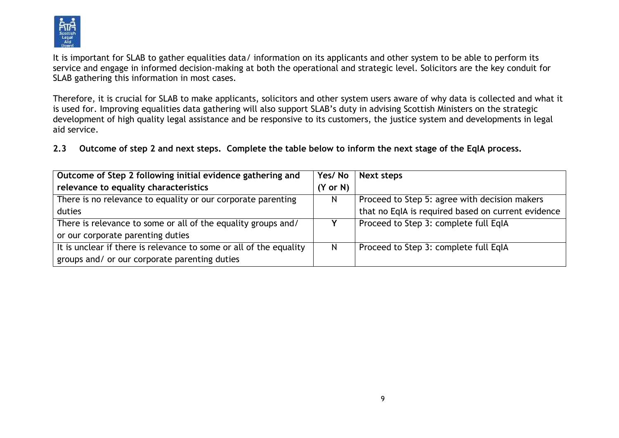

It is important for SLAB to gather equalities data/ information on its applicants and other system to be able to perform its service and engage in informed decision-making at both the operational and strategic level. Solicitors are the key conduit for SLAB gathering this information in most cases.

Therefore, it is crucial for SLAB to make applicants, solicitors and other system users aware of why data is collected and what it is used for. Improving equalities data gathering will also support SLAB's duty in advising Scottish Ministers on the strategic development of high quality legal assistance and be responsive to its customers, the justice system and developments in legal aid service.

**2.3 Outcome of step 2 and next steps. Complete the table below to inform the next stage of the EqIA process.**

| Outcome of Step 2 following initial evidence gathering and         | Yes/No   | <b>Next steps</b>                                  |
|--------------------------------------------------------------------|----------|----------------------------------------------------|
| relevance to equality characteristics                              | (Y or N) |                                                    |
| There is no relevance to equality or our corporate parenting       | N        | Proceed to Step 5: agree with decision makers      |
| duties                                                             |          | that no EqIA is required based on current evidence |
| There is relevance to some or all of the equality groups and/      |          | Proceed to Step 3: complete full EqIA              |
| or our corporate parenting duties                                  |          |                                                    |
| It is unclear if there is relevance to some or all of the equality | N        | Proceed to Step 3: complete full EqIA              |
| groups and/ or our corporate parenting duties                      |          |                                                    |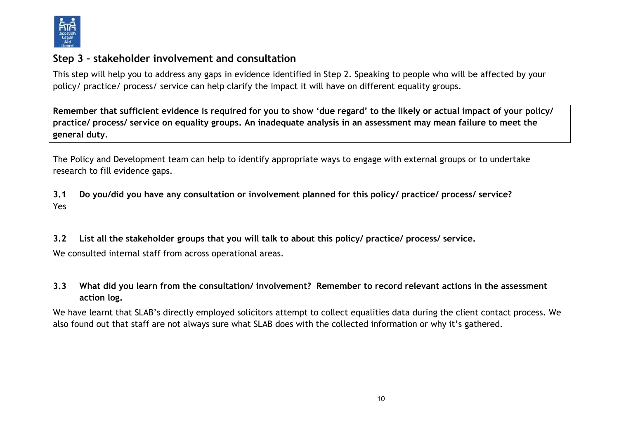

## **Step 3 – stakeholder involvement and consultation**

This step will help you to address any gaps in evidence identified in Step 2. Speaking to people who will be affected by your policy/ practice/ process/ service can help clarify the impact it will have on different equality groups.

**Remember that sufficient evidence is required for you to show 'due regard' to the likely or actual impact of your policy/ practice/ process/ service on equality groups. An inadequate analysis in an assessment may mean failure to meet the general duty**.

The Policy and Development team can help to identify appropriate ways to engage with external groups or to undertake research to fill evidence gaps.

**3.1 Do you/did you have any consultation or involvement planned for this policy/ practice/ process/ service?**  Yes

**3.2 List all the stakeholder groups that you will talk to about this policy/ practice/ process/ service.**  We consulted internal staff from across operational areas.

### **3.3 What did you learn from the consultation/ involvement? Remember to record relevant actions in the assessment action log.**

We have learnt that SLAB's directly employed solicitors attempt to collect equalities data during the client contact process. We also found out that staff are not always sure what SLAB does with the collected information or why it's gathered.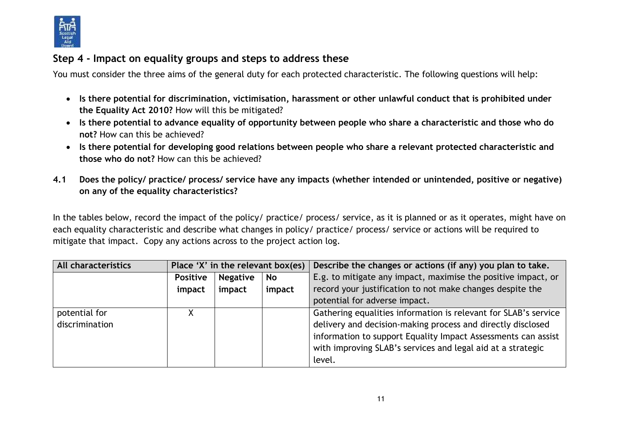

# **Step 4 - Impact on equality groups and steps to address these**

You must consider the three aims of the general duty for each protected characteristic. The following questions will help:

- **Is there potential for discrimination, victimisation, harassment or other unlawful conduct that is prohibited under the Equality Act 2010?** How will this be mitigated?
- **Is there potential to advance equality of opportunity between people who share a characteristic and those who do not?** How can this be achieved?
- **Is there potential for developing good relations between people who share a relevant protected characteristic and those who do not?** How can this be achieved?
- **4.1 Does the policy/ practice/ process/ service have any impacts (whether intended or unintended, positive or negative) on any of the equality characteristics?**

In the tables below, record the impact of the policy/ practice/ process/ service, as it is planned or as it operates, might have on each equality characteristic and describe what changes in policy/ practice/ process/ service or actions will be required to mitigate that impact. Copy any actions across to the project action log.

| All characteristics | Place 'X' in the relevant box(es) |                 |        | Describe the changes or actions (if any) you plan to take.      |
|---------------------|-----------------------------------|-----------------|--------|-----------------------------------------------------------------|
|                     | <b>Positive</b>                   | <b>Negative</b> | No     | E.g. to mitigate any impact, maximise the positive impact, or   |
|                     | impact                            | impact          | impact | record your justification to not make changes despite the       |
|                     |                                   |                 |        | potential for adverse impact.                                   |
| potential for       |                                   |                 |        | Gathering equalities information is relevant for SLAB's service |
| discrimination      |                                   |                 |        | delivery and decision-making process and directly disclosed     |
|                     |                                   |                 |        | information to support Equality Impact Assessments can assist   |
|                     |                                   |                 |        | with improving SLAB's services and legal aid at a strategic     |
|                     |                                   |                 |        | level.                                                          |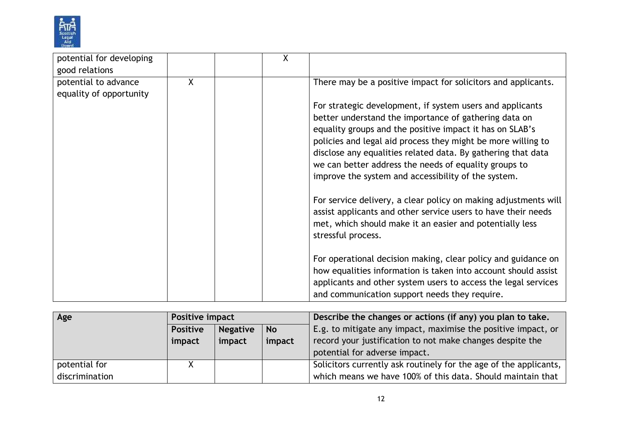

| potential for developing |   | X |                                                                 |
|--------------------------|---|---|-----------------------------------------------------------------|
| good relations           |   |   |                                                                 |
| potential to advance     | X |   | There may be a positive impact for solicitors and applicants.   |
| equality of opportunity  |   |   |                                                                 |
|                          |   |   | For strategic development, if system users and applicants       |
|                          |   |   | better understand the importance of gathering data on           |
|                          |   |   | equality groups and the positive impact it has on SLAB's        |
|                          |   |   | policies and legal aid process they might be more willing to    |
|                          |   |   | disclose any equalities related data. By gathering that data    |
|                          |   |   |                                                                 |
|                          |   |   | we can better address the needs of equality groups to           |
|                          |   |   | improve the system and accessibility of the system.             |
|                          |   |   | For service delivery, a clear policy on making adjustments will |
|                          |   |   | assist applicants and other service users to have their needs   |
|                          |   |   | met, which should make it an easier and potentially less        |
|                          |   |   | stressful process.                                              |
|                          |   |   |                                                                 |
|                          |   |   | For operational decision making, clear policy and guidance on   |
|                          |   |   | how equalities information is taken into account should assist  |
|                          |   |   | applicants and other system users to access the legal services  |
|                          |   |   | and communication support needs they require.                   |
|                          |   |   |                                                                 |

| Age            | Positive impact                                 |        |        | Describe the changes or actions (if any) you plan to take.        |
|----------------|-------------------------------------------------|--------|--------|-------------------------------------------------------------------|
|                | <b>Negative</b><br><b>No</b><br><b>Positive</b> |        |        | E.g. to mitigate any impact, maximise the positive impact, or     |
|                | impact                                          | impact | impact | record your justification to not make changes despite the         |
|                |                                                 |        |        | potential for adverse impact.                                     |
| potential for  |                                                 |        |        | Solicitors currently ask routinely for the age of the applicants, |
| discrimination |                                                 |        |        | which means we have 100% of this data. Should maintain that       |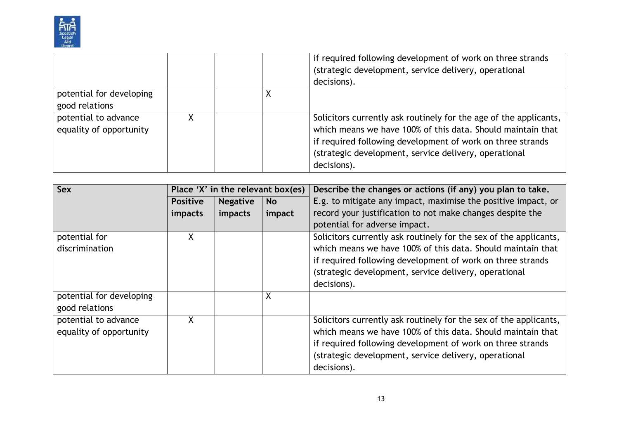

|                                                 |  | if required following development of work on three strands<br>(strategic development, service delivery, operational<br>decisions).                                                                                                                                     |
|-------------------------------------------------|--|------------------------------------------------------------------------------------------------------------------------------------------------------------------------------------------------------------------------------------------------------------------------|
| potential for developing<br>good relations      |  |                                                                                                                                                                                                                                                                        |
| potential to advance<br>equality of opportunity |  | Solicitors currently ask routinely for the age of the applicants,<br>which means we have 100% of this data. Should maintain that<br>if required following development of work on three strands<br>(strategic development, service delivery, operational<br>decisions). |

| <b>Sex</b>               | Place 'X' in the relevant box(es) |                 |           | Describe the changes or actions (if any) you plan to take.        |
|--------------------------|-----------------------------------|-----------------|-----------|-------------------------------------------------------------------|
|                          | <b>Positive</b>                   | <b>Negative</b> | <b>No</b> | E.g. to mitigate any impact, maximise the positive impact, or     |
|                          | impacts                           | impacts         | impact    | record your justification to not make changes despite the         |
|                          |                                   |                 |           | potential for adverse impact.                                     |
| potential for            | X                                 |                 |           | Solicitors currently ask routinely for the sex of the applicants, |
| discrimination           |                                   |                 |           | which means we have 100% of this data. Should maintain that       |
|                          |                                   |                 |           | if required following development of work on three strands        |
|                          |                                   |                 |           | (strategic development, service delivery, operational             |
|                          |                                   |                 |           | decisions).                                                       |
| potential for developing |                                   |                 | X         |                                                                   |
| good relations           |                                   |                 |           |                                                                   |
| potential to advance     | X                                 |                 |           | Solicitors currently ask routinely for the sex of the applicants, |
| equality of opportunity  |                                   |                 |           | which means we have 100% of this data. Should maintain that       |
|                          |                                   |                 |           | if required following development of work on three strands        |
|                          |                                   |                 |           | (strategic development, service delivery, operational             |
|                          |                                   |                 |           | decisions).                                                       |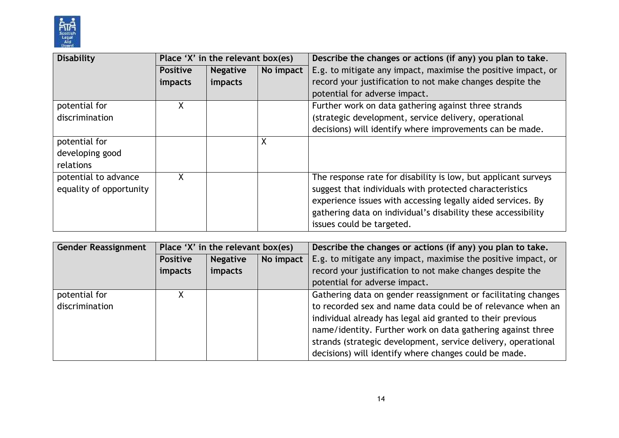

| Disability              | Place 'X' in the relevant box(es) |                 |           | Describe the changes or actions (if any) you plan to take.     |
|-------------------------|-----------------------------------|-----------------|-----------|----------------------------------------------------------------|
|                         | <b>Positive</b>                   | <b>Negative</b> | No impact | E.g. to mitigate any impact, maximise the positive impact, or  |
|                         | impacts                           | impacts         |           | record your justification to not make changes despite the      |
|                         |                                   |                 |           | potential for adverse impact.                                  |
| potential for           | Χ                                 |                 |           | Further work on data gathering against three strands           |
| discrimination          |                                   |                 |           | (strategic development, service delivery, operational          |
|                         |                                   |                 |           | decisions) will identify where improvements can be made.       |
| potential for           |                                   |                 | X         |                                                                |
| developing good         |                                   |                 |           |                                                                |
| relations               |                                   |                 |           |                                                                |
| potential to advance    | X                                 |                 |           | The response rate for disability is low, but applicant surveys |
| equality of opportunity |                                   |                 |           | suggest that individuals with protected characteristics        |
|                         |                                   |                 |           | experience issues with accessing legally aided services. By    |
|                         |                                   |                 |           | gathering data on individual's disability these accessibility  |
|                         |                                   |                 |           | issues could be targeted.                                      |

| <b>Gender Reassignment</b> | Place 'X' in the relevant box(es) |                 |           | Describe the changes or actions (if any) you plan to take.    |
|----------------------------|-----------------------------------|-----------------|-----------|---------------------------------------------------------------|
|                            | <b>Positive</b>                   | <b>Negative</b> | No impact | E.g. to mitigate any impact, maximise the positive impact, or |
|                            | <i>impacts</i>                    | impacts         |           | record your justification to not make changes despite the     |
|                            |                                   |                 |           | potential for adverse impact.                                 |
| potential for              |                                   |                 |           | Gathering data on gender reassignment or facilitating changes |
| discrimination             |                                   |                 |           | to recorded sex and name data could be of relevance when an   |
|                            |                                   |                 |           | individual already has legal aid granted to their previous    |
|                            |                                   |                 |           | name/identity. Further work on data gathering against three   |
|                            |                                   |                 |           | strands (strategic development, service delivery, operational |
|                            |                                   |                 |           | decisions) will identify where changes could be made.         |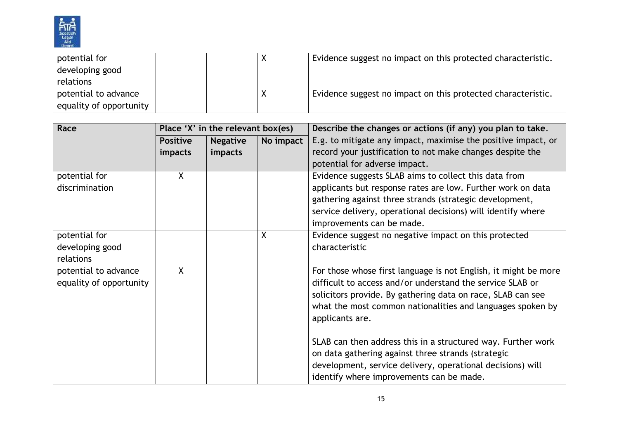

| potential for           |  | Evidence suggest no impact on this protected characteristic. |
|-------------------------|--|--------------------------------------------------------------|
| developing good         |  |                                                              |
| relations               |  |                                                              |
| potential to advance    |  | Evidence suggest no impact on this protected characteristic. |
| equality of opportunity |  |                                                              |

| Race                    | Place 'X' in the relevant box(es) |                 |           | Describe the changes or actions (if any) you plan to take.      |
|-------------------------|-----------------------------------|-----------------|-----------|-----------------------------------------------------------------|
|                         | <b>Positive</b>                   | <b>Negative</b> | No impact | E.g. to mitigate any impact, maximise the positive impact, or   |
|                         | impacts                           | impacts         |           | record your justification to not make changes despite the       |
|                         |                                   |                 |           | potential for adverse impact.                                   |
| potential for           | X                                 |                 |           | Evidence suggests SLAB aims to collect this data from           |
| discrimination          |                                   |                 |           | applicants but response rates are low. Further work on data     |
|                         |                                   |                 |           | gathering against three strands (strategic development,         |
|                         |                                   |                 |           | service delivery, operational decisions) will identify where    |
|                         |                                   |                 |           | improvements can be made.                                       |
| potential for           |                                   |                 | X         | Evidence suggest no negative impact on this protected           |
| developing good         |                                   |                 |           | characteristic                                                  |
| relations               |                                   |                 |           |                                                                 |
| potential to advance    | X                                 |                 |           | For those whose first language is not English, it might be more |
| equality of opportunity |                                   |                 |           | difficult to access and/or understand the service SLAB or       |
|                         |                                   |                 |           | solicitors provide. By gathering data on race, SLAB can see     |
|                         |                                   |                 |           | what the most common nationalities and languages spoken by      |
|                         |                                   |                 |           | applicants are.                                                 |
|                         |                                   |                 |           |                                                                 |
|                         |                                   |                 |           | SLAB can then address this in a structured way. Further work    |
|                         |                                   |                 |           | on data gathering against three strands (strategic              |
|                         |                                   |                 |           | development, service delivery, operational decisions) will      |
|                         |                                   |                 |           | identify where improvements can be made.                        |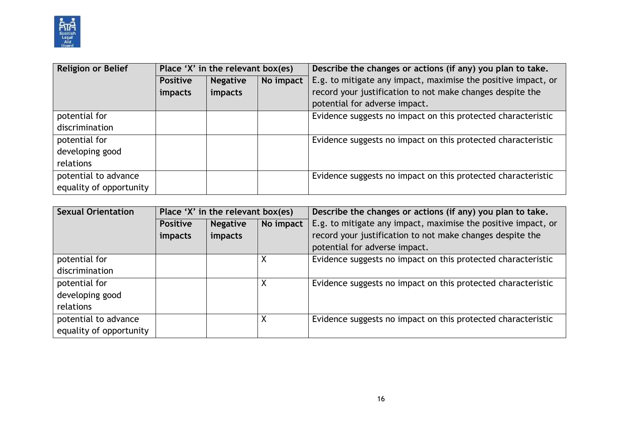

| <b>Religion or Belief</b> | Place 'X' in the relevant box(es) |                 |           | Describe the changes or actions (if any) you plan to take.    |  |
|---------------------------|-----------------------------------|-----------------|-----------|---------------------------------------------------------------|--|
|                           | <b>Positive</b>                   | <b>Negative</b> | No impact | E.g. to mitigate any impact, maximise the positive impact, or |  |
|                           | <i>impacts</i>                    | impacts         |           | record your justification to not make changes despite the     |  |
|                           |                                   |                 |           | potential for adverse impact.                                 |  |
| potential for             |                                   |                 |           | Evidence suggests no impact on this protected characteristic  |  |
| discrimination            |                                   |                 |           |                                                               |  |
| potential for             |                                   |                 |           | Evidence suggests no impact on this protected characteristic  |  |
| developing good           |                                   |                 |           |                                                               |  |
| relations                 |                                   |                 |           |                                                               |  |
| potential to advance      |                                   |                 |           | Evidence suggests no impact on this protected characteristic  |  |
| equality of opportunity   |                                   |                 |           |                                                               |  |

| <b>Sexual Orientation</b> | Place 'X' in the relevant box(es) |                              |   | Describe the changes or actions (if any) you plan to take.    |  |
|---------------------------|-----------------------------------|------------------------------|---|---------------------------------------------------------------|--|
|                           | <b>Positive</b>                   | No impact<br><b>Negative</b> |   | E.g. to mitigate any impact, maximise the positive impact, or |  |
|                           | impacts                           | impacts                      |   | record your justification to not make changes despite the     |  |
|                           |                                   |                              |   | potential for adverse impact.                                 |  |
| potential for             |                                   |                              |   | Evidence suggests no impact on this protected characteristic  |  |
| discrimination            |                                   |                              |   |                                                               |  |
| potential for             |                                   |                              | Χ | Evidence suggests no impact on this protected characteristic  |  |
| developing good           |                                   |                              |   |                                                               |  |
| relations                 |                                   |                              |   |                                                               |  |
| potential to advance      |                                   |                              | Χ | Evidence suggests no impact on this protected characteristic  |  |
| equality of opportunity   |                                   |                              |   |                                                               |  |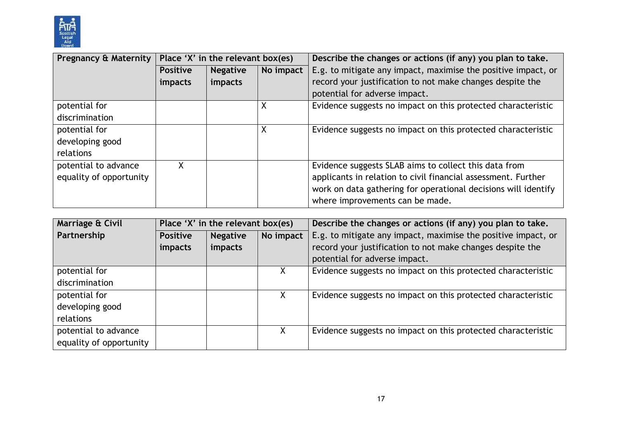

| <b>Pregnancy &amp; Maternity</b> | Place 'X' in the relevant box(es) |                              |   | Describe the changes or actions (if any) you plan to take.     |  |
|----------------------------------|-----------------------------------|------------------------------|---|----------------------------------------------------------------|--|
|                                  | <b>Positive</b>                   | No impact<br><b>Negative</b> |   | E.g. to mitigate any impact, maximise the positive impact, or  |  |
|                                  | impacts                           | impacts                      |   | record your justification to not make changes despite the      |  |
|                                  |                                   |                              |   | potential for adverse impact.                                  |  |
| potential for                    |                                   |                              | X | Evidence suggests no impact on this protected characteristic   |  |
| discrimination                   |                                   |                              |   |                                                                |  |
| potential for                    |                                   |                              | X | Evidence suggests no impact on this protected characteristic   |  |
| developing good                  |                                   |                              |   |                                                                |  |
| relations                        |                                   |                              |   |                                                                |  |
| potential to advance             | X                                 |                              |   | Evidence suggests SLAB aims to collect this data from          |  |
| equality of opportunity          |                                   |                              |   | applicants in relation to civil financial assessment. Further  |  |
|                                  |                                   |                              |   | work on data gathering for operational decisions will identify |  |
|                                  |                                   |                              |   | where improvements can be made.                                |  |

| Marriage & Civil        | Place 'X' in the relevant box(es) |                              |    | Describe the changes or actions (if any) you plan to take.    |  |
|-------------------------|-----------------------------------|------------------------------|----|---------------------------------------------------------------|--|
| Partnership             | <b>Positive</b>                   | No impact<br><b>Negative</b> |    | E.g. to mitigate any impact, maximise the positive impact, or |  |
|                         | impacts                           | impacts                      |    | record your justification to not make changes despite the     |  |
|                         |                                   |                              |    | potential for adverse impact.                                 |  |
| potential for           |                                   |                              |    | Evidence suggests no impact on this protected characteristic  |  |
| discrimination          |                                   |                              |    |                                                               |  |
| potential for           |                                   |                              | X. | Evidence suggests no impact on this protected characteristic  |  |
| developing good         |                                   |                              |    |                                                               |  |
| relations               |                                   |                              |    |                                                               |  |
| potential to advance    |                                   |                              | Χ  | Evidence suggests no impact on this protected characteristic  |  |
| equality of opportunity |                                   |                              |    |                                                               |  |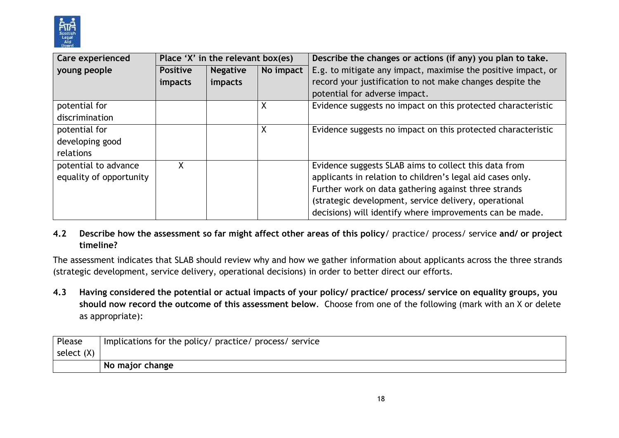

| Care experienced        | Place 'X' in the relevant box(es) |                 |           | Describe the changes or actions (if any) you plan to take.    |  |
|-------------------------|-----------------------------------|-----------------|-----------|---------------------------------------------------------------|--|
| young people            | <b>Positive</b>                   | <b>Negative</b> | No impact | E.g. to mitigate any impact, maximise the positive impact, or |  |
|                         | impacts                           | impacts         |           | record your justification to not make changes despite the     |  |
|                         |                                   |                 |           | potential for adverse impact.                                 |  |
| potential for           |                                   |                 | X         | Evidence suggests no impact on this protected characteristic  |  |
| discrimination          |                                   |                 |           |                                                               |  |
| potential for           |                                   |                 | χ         | Evidence suggests no impact on this protected characteristic  |  |
| developing good         |                                   |                 |           |                                                               |  |
| relations               |                                   |                 |           |                                                               |  |
| potential to advance    | X                                 |                 |           | Evidence suggests SLAB aims to collect this data from         |  |
| equality of opportunity |                                   |                 |           | applicants in relation to children's legal aid cases only.    |  |
|                         |                                   |                 |           | Further work on data gathering against three strands          |  |
|                         |                                   |                 |           | (strategic development, service delivery, operational         |  |
|                         |                                   |                 |           | decisions) will identify where improvements can be made.      |  |

#### **4.2 Describe how the assessment so far might affect other areas of this policy**/ practice/ process/ service **and/ or project timeline?**

The assessment indicates that SLAB should review why and how we gather information about applicants across the three strands (strategic development, service delivery, operational decisions) in order to better direct our efforts.

**4.3 Having considered the potential or actual impacts of your policy/ practice/ process/ service on equality groups, you should now record the outcome of this assessment below**. Choose from one of the following (mark with an X or delete as appropriate):

| Please       | Implications for the policy/ practice/ process/ service |
|--------------|---------------------------------------------------------|
| select $(X)$ |                                                         |
|              | No major change                                         |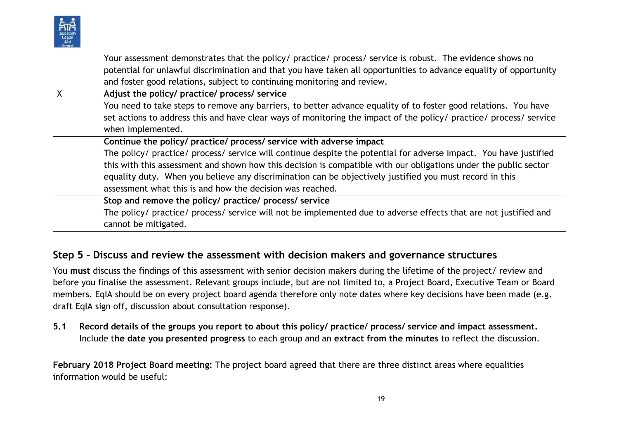

|   | Your assessment demonstrates that the policy/ practice/ process/ service is robust. The evidence shows no          |
|---|--------------------------------------------------------------------------------------------------------------------|
|   | potential for unlawful discrimination and that you have taken all opportunities to advance equality of opportunity |
|   | and foster good relations, subject to continuing monitoring and review.                                            |
| X | Adjust the policy/ practice/ process/ service                                                                      |
|   | You need to take steps to remove any barriers, to better advance equality of to foster good relations. You have    |
|   | set actions to address this and have clear ways of monitoring the impact of the policy/ practice/ process/ service |
|   | when implemented.                                                                                                  |
|   | Continue the policy/ practice/ process/ service with adverse impact                                                |
|   | The policy/ practice/ process/ service will continue despite the potential for adverse impact. You have justified  |
|   | this with this assessment and shown how this decision is compatible with our obligations under the public sector   |
|   | equality duty. When you believe any discrimination can be objectively justified you must record in this            |
|   | assessment what this is and how the decision was reached.                                                          |
|   | Stop and remove the policy/ practice/ process/ service                                                             |
|   | The policy/ practice/ process/ service will not be implemented due to adverse effects that are not justified and   |
|   | cannot be mitigated.                                                                                               |

## **Step 5 - Discuss and review the assessment with decision makers and governance structures**

You **must** discuss the findings of this assessment with senior decision makers during the lifetime of the project/ review and before you finalise the assessment. Relevant groups include, but are not limited to, a Project Board, Executive Team or Board members. EqIA should be on every project board agenda therefore only note dates where key decisions have been made (e.g. draft EqIA sign off, discussion about consultation response).

**5.1 Record details of the groups you report to about this policy/ practice/ process/ service and impact assessment.**  Include t**he date you presented progress** to each group and an **extract from the minutes** to reflect the discussion.

**February 2018 Project Board meeting:** The project board agreed that there are three distinct areas where equalities information would be useful: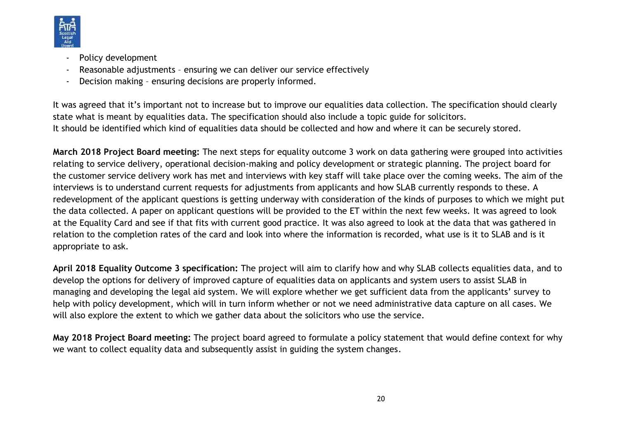

- Policy development
- Reasonable adjustments ensuring we can deliver our service effectively
- Decision making ensuring decisions are properly informed.

It was agreed that it's important not to increase but to improve our equalities data collection. The specification should clearly state what is meant by equalities data. The specification should also include a topic guide for solicitors. It should be identified which kind of equalities data should be collected and how and where it can be securely stored.

**March 2018 Project Board meeting:** The next steps for equality outcome 3 work on data gathering were grouped into activities relating to service delivery, operational decision-making and policy development or strategic planning. The project board for the customer service delivery work has met and interviews with key staff will take place over the coming weeks. The aim of the interviews is to understand current requests for adjustments from applicants and how SLAB currently responds to these. A redevelopment of the applicant questions is getting underway with consideration of the kinds of purposes to which we might put the data collected. A paper on applicant questions will be provided to the ET within the next few weeks. It was agreed to look at the Equality Card and see if that fits with current good practice. It was also agreed to look at the data that was gathered in relation to the completion rates of the card and look into where the information is recorded, what use is it to SLAB and is it appropriate to ask.

**April 2018 Equality Outcome 3 specification:** The project will aim to clarify how and why SLAB collects equalities data, and to develop the options for delivery of improved capture of equalities data on applicants and system users to assist SLAB in managing and developing the legal aid system. We will explore whether we get sufficient data from the applicants' survey to help with policy development, which will in turn inform whether or not we need administrative data capture on all cases. We will also explore the extent to which we gather data about the solicitors who use the service.

**May 2018 Project Board meeting:** The project board agreed to formulate a policy statement that would define context for why we want to collect equality data and subsequently assist in guiding the system changes.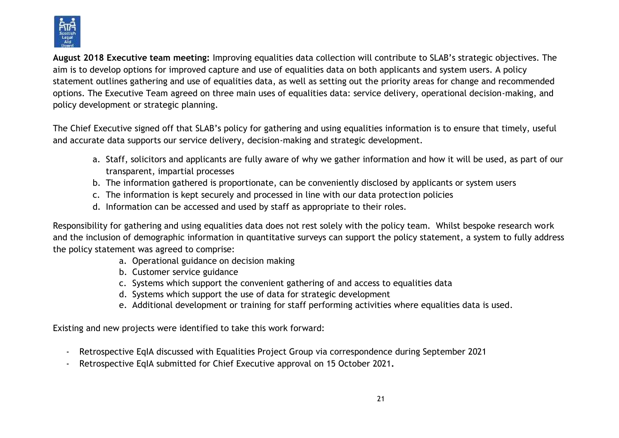

**August 2018 Executive team meeting:** Improving equalities data collection will contribute to SLAB's strategic objectives. The aim is to develop options for improved capture and use of equalities data on both applicants and system users. A policy statement outlines gathering and use of equalities data, as well as setting out the priority areas for change and recommended options. The Executive Team agreed on three main uses of equalities data: service delivery, operational decision-making, and policy development or strategic planning.

The Chief Executive signed off that SLAB's policy for gathering and using equalities information is to ensure that timely, useful and accurate data supports our service delivery, decision-making and strategic development.

- a. Staff, solicitors and applicants are fully aware of why we gather information and how it will be used, as part of our transparent, impartial processes
- b. The information gathered is proportionate, can be conveniently disclosed by applicants or system users
- c. The information is kept securely and processed in line with our data protection policies
- d. Information can be accessed and used by staff as appropriate to their roles.

Responsibility for gathering and using equalities data does not rest solely with the policy team. Whilst bespoke research work and the inclusion of demographic information in quantitative surveys can support the policy statement, a system to fully address the policy statement was agreed to comprise:

- a. Operational guidance on decision making
- b. Customer service guidance
- c. Systems which support the convenient gathering of and access to equalities data
- d. Systems which support the use of data for strategic development
- e. Additional development or training for staff performing activities where equalities data is used.

Existing and new projects were identified to take this work forward:

- Retrospective EqIA discussed with Equalities Project Group via correspondence during September 2021
- Retrospective EqIA submitted for Chief Executive approval on 15 October 2021**.**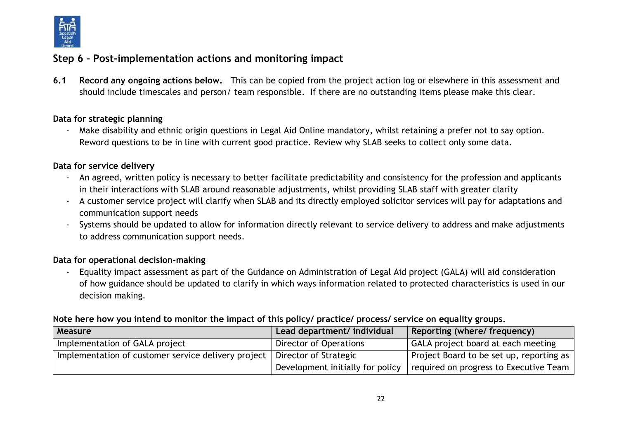

# **Step 6 – Post-implementation actions and monitoring impact**

**6.1 Record any ongoing actions below.** This can be copied from the project action log or elsewhere in this assessment and should include timescales and person/ team responsible.If there are no outstanding items please make this clear.

#### **Data for strategic planning**

- Make disability and ethnic origin questions in Legal Aid Online mandatory, whilst retaining a prefer not to say option. Reword questions to be in line with current good practice. Review why SLAB seeks to collect only some data.

#### **Data for service delivery**

- An agreed, written policy is necessary to better facilitate predictability and consistency for the profession and applicants in their interactions with SLAB around reasonable adjustments, whilst providing SLAB staff with greater clarity
- A customer service project will clarify when SLAB and its directly employed solicitor services will pay for adaptations and communication support needs
- Systems should be updated to allow for information directly relevant to service delivery to address and make adjustments to address communication support needs.

#### **Data for operational decision-making**

- Equality impact assessment as part of the Guidance on Administration of Legal Aid project (GALA) will aid consideration of how guidance should be updated to clarify in which ways information related to protected characteristics is used in our decision making.

#### **Note here how you intend to monitor the impact of this policy/ practice/ process/ service on equality groups**.

| Measure                                             | Lead department/ individual      | Reporting (where/ frequency)               |
|-----------------------------------------------------|----------------------------------|--------------------------------------------|
| Implementation of GALA project                      | Director of Operations           | GALA project board at each meeting         |
| Implementation of customer service delivery project | Director of Strategic            | Project Board to be set up, reporting as 1 |
|                                                     | Development initially for policy | required on progress to Executive Team     |